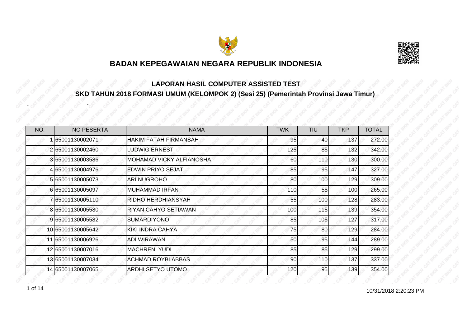



#### **LAPORAN HASIL COMPUTER ASSISTED TEST SKD TAHUN 2018 FORMASI UMUM (KELOMPOK 2) (Sesi 25) (Pemerintah Provinsi Jawa Timur)**

| NO. | <b>NO PESERTA</b> | <b>NAMA</b>                  | <b>TWK</b> | TIU | <b>TKP</b> | <b>TOTAL</b> |
|-----|-------------------|------------------------------|------------|-----|------------|--------------|
|     | 65001130002071    | <b>HAKIM FATAH FIRMANSAH</b> | 95         | 40  | 137        | 272.00       |
|     | 265001130002460   | <b>LUDWIG ERNEST</b>         | 125        | 85  | 132        | 342.00       |
|     | 365001130003586   | MOHAMAD VICKY ALFIANOSHA     | 60         | 110 | 130        | 300.00       |
|     | 4 65001130004976  | <b>EDWIN PRIYO SEJATI</b>    | 85         | 95  | 147        | 327.00       |
|     | 5 65001130005073  | <b>ARI NUGROHO</b>           | 80         | 100 | 129        | 309.00       |
|     | 665001130005097   | <b>MUHAMMAD IRFAN</b>        | 110        | 55  | 100        | 265.00       |
|     | 765001130005110   | RIDHO HERDHIANSYAH           | 55         | 100 | 128        | 283.00       |
|     | 8 65001130005580  | <b>RIYAN CAHYO SETIAWAN</b>  | 100        | 115 | 139        | 354.00       |
|     | 9 65001130005582  | <b>SUMARDIYONO</b>           | 85         | 105 | 127        | 317.00       |
|     | 10 65001130005642 | KIKI INDRA CAHYA             | 75         | 80  | 129        | 284.00       |
|     | 11 65001130006926 | ADI WIRAWAN                  | 50         | 95  | 144        | 289.00       |
|     | 12 65001130007016 | <b>MACHRENI YUDI</b>         | 85         | 85  | 129        | 299.00       |
|     | 13 65001130007034 | <b>ACHMAD ROYBI ABBAS</b>    | 90         | 110 | 137        | 337.00       |
|     | 14 65001130007065 | ARDHI SETYO UTOMO            | 120        | 95  | 139        | 354.00       |

1 of 14 **10/31/2018** 2:20:23 PM

-

-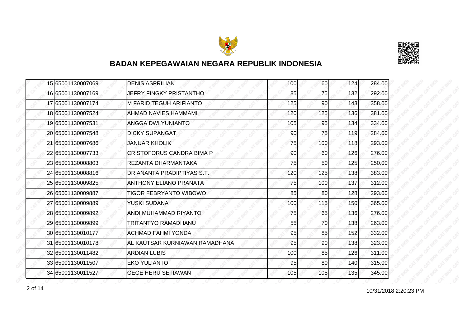



|  | 15 65001130007069 | <b>DENIS ASPRILIAN</b>           | 100 | 60  | 124 | 284.00 |
|--|-------------------|----------------------------------|-----|-----|-----|--------|
|  | 16 65001130007169 | <b>JEFRY FINGKY PRISTANTHO</b>   | 85  | 75  | 132 | 292.00 |
|  | 17 65001130007174 | <b>M FARID TEGUH ARIFIANTO</b>   | 125 | 90  | 143 | 358.00 |
|  | 18 65001130007524 | AHMAD NAVIES HAMMAMI             | 120 | 125 | 136 | 381.00 |
|  | 19 65001130007531 | ANGGA DWI YUNIANTO               | 105 | 95  | 134 | 334.00 |
|  | 20 65001130007548 | <b>DICKY SUPANGAT</b>            | 90  | 75  | 119 | 284.00 |
|  | 21 65001130007686 | <b>JANUAR KHOLIK</b>             | 75  | 100 | 118 | 293.00 |
|  | 22 65001130007733 | <b>CRISTOFORUS CANDRA BIMA P</b> | 90  | 60  | 126 | 276.00 |
|  | 23 65001130008803 | REZANTA DHARMANTAKA              | 75  | 50  | 125 | 250.00 |
|  | 24 65001130008816 | DRIANANTA PRADIPTIYAS S.T.       | 120 | 125 | 138 | 383.00 |
|  | 25 65001130009825 | <b>ANTHONY ELIANO PRANATA</b>    | 75  | 100 | 137 | 312.00 |
|  | 26 65001130009887 | <b>TIGOR FEBRYANTO WIBOWO</b>    | 85  | 80  | 128 | 293.00 |
|  | 27 65001130009889 | YUSKI SUDANA                     | 100 | 115 | 150 | 365.00 |
|  | 28 65001130009892 | ANDI MUHAMMAD RIYANTO            | 75  | 65  | 136 | 276.00 |
|  | 29 65001130009899 | TRITANTYO RAMADHANU              | 55  | 70  | 138 | 263.00 |
|  | 30 65001130010177 | <b>ACHMAD FAHMI YONDA</b>        | 95  | 85  | 152 | 332.00 |
|  | 31 65001130010178 | AL KAUTSAR KURNIAWAN RAMADHANA   | 95  | 90  | 138 | 323.00 |
|  | 32 65001130011482 | <b>ARDIAN LUBIS</b>              | 100 | 85  | 126 | 311.00 |
|  | 33 65001130011507 | <b>EKO YULIANTO</b>              | 95  | 80  | 140 | 315.00 |
|  | 34 65001130011527 | <b>GEGE HERU SETIAWAN</b>        | 105 | 105 | 135 | 345.00 |

2 of 14 **10/31/2018** 2:20:23 PM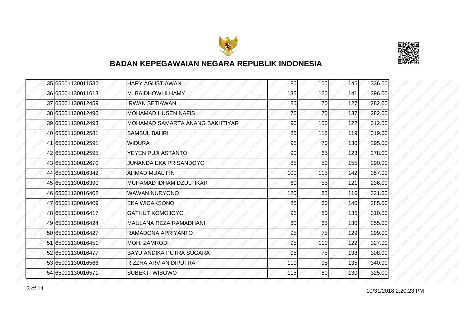



|  | 35 65001130011532 | <b>HARY AGUSTIAWAN</b>          | 85  | 105 | 146 | 336.00 |
|--|-------------------|---------------------------------|-----|-----|-----|--------|
|  | 36 65001130011613 | <b>M. BAIDHOWI ILHAMY</b>       | 135 | 120 | 141 | 396.00 |
|  | 37 65001130012459 | <b>IRWAN SETIAWAN</b>           | 85  | 70  | 127 | 282.00 |
|  | 38 65001130012490 | <b>MOHAMAD HUSEN NAFIS</b>      | 75  | 70  | 137 | 282.00 |
|  | 39 65001130012493 | MOHAMAD SAMARTA ANANG BAKHTIYAR | 90  | 100 | 122 | 312.00 |
|  | 40 65001130012581 | <b>SAMSUL BAHRI</b>             | 85  | 115 | 119 | 319.00 |
|  | 41 65001130012591 | <b>WIDURA</b>                   | 95  | 70I | 130 | 295.00 |
|  | 42 65001130012595 | YEYEN PUJI ASTANTO              | 90  | 65  | 123 | 278.00 |
|  | 43 65001130012670 | JUNANDA EKA PRISANDOYO          | 85  | 50  | 155 | 290.00 |
|  | 44 65001130016342 | <b>AHMAD MUALIFIN</b>           | 100 | 115 | 142 | 357.00 |
|  | 45 65001130016390 | MUHAMAD IDHAM DZULFIKAR         | 60  | 55  | 121 | 236.00 |
|  | 46 65001130016402 | <b>WAWAN NURYONO</b>            | 120 | 85  | 116 | 321.00 |
|  | 47 65001130016409 | <b>EKA WICAKSONO</b>            | 85  | 60  | 140 | 285.00 |
|  | 48 65001130016417 | <b>GATHUT KOMOJOYO</b>          | 95  | 80  | 135 | 310.00 |
|  | 49 65001130016424 | MAULANA REZA RAMADHANI          | 60  | 65  | 130 | 255.00 |
|  | 50 65001130016427 | RAMADONA APRIYANTO              | 95  | 75  | 129 | 299.00 |
|  | 51 65001130016451 | <b>MOH. ZAMRODI</b>             | 95  | 110 | 122 | 327.00 |
|  | 52 65001130016477 | BAYU ANDIKA PUTRA SUGARA        | 95  | 75  | 138 | 308.00 |
|  | 53 65001130016566 | RIZZHA ARVIAN DIPUTRA           | 110 | 95  | 135 | 340.00 |
|  | 54 65001130016571 | <b>SUBEKTI WIBOWO</b>           | 115 | 80  | 130 | 325.00 |

10/31/2018 2:20:23 PM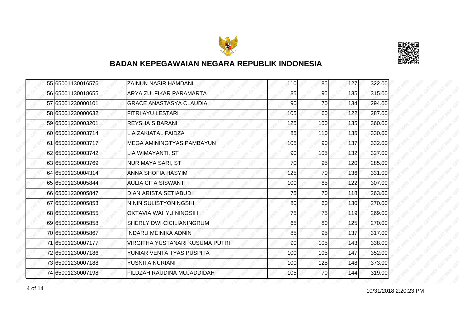



|  | 55 65001130016576 | <b>ZAINUN NASIR HAMDANI</b>     | 110 | 85        | 127 | 322.00 |
|--|-------------------|---------------------------------|-----|-----------|-----|--------|
|  | 56 65001130018655 | <b>ARYA ZULFIKAR PARAMARTA</b>  | 85  | 95        | 135 | 315.00 |
|  | 57 65001230000101 | <b>GRACE ANASTASYA CLAUDIA</b>  | 90  | 70        | 134 | 294.00 |
|  | 58 65001230000632 | FITRI AYU LESTARI               | 105 | 60        | 122 | 287.00 |
|  | 59 65001230003201 | <b>REYSHA SIBARANI</b>          | 125 | 100       | 135 | 360.00 |
|  | 60 65001230003714 | <b>LIA ZAKIATAL FAIDZA</b>      | 85  | 110       | 135 | 330.00 |
|  | 61 65001230003717 | IMEGA AMININGTYAS PAMBAYUN      | 105 | <b>90</b> | 137 | 332.00 |
|  | 62 65001230003742 | LIA WIMAYANTI, ST               | 90  | 105       | 132 | 327.00 |
|  | 63 65001230003769 | <b>NUR MAYA SARI, ST</b>        | 70  | 95        | 120 | 285.00 |
|  | 64 65001230004314 | ANNA SHOFIA HASYIM              | 125 | 70        | 136 | 331.00 |
|  | 65 65001230005844 | <b>AULIA CITA SISWANTI</b>      | 100 | 85        | 122 | 307.00 |
|  | 66 65001230005847 | DIAN ARISTA SETIABUDI           | 75  | 70        | 118 | 263.00 |
|  | 67 65001230005853 | NININ SULISTYONINGSIH           | 80  | 60        | 130 | 270.00 |
|  | 68 65001230005855 | OKTAVIA WAHYU NINGSIH           | 75  | 75        | 119 | 269.00 |
|  | 69 65001230005858 | SHERLY DWI CICILIANINGRUM       | 65  | 80        | 125 | 270.00 |
|  | 70 65001230005867 | <b>INDARU MEINIKA ADNIN</b>     | 85  | 95        | 137 | 317.00 |
|  | 71 65001230007177 | VIRGITHA YUSTANARI KUSUMA PUTRI | 90  | 105       | 143 | 338.00 |
|  | 72 65001230007186 | YUNIAR VENTA TYAS PUSPITA       | 100 | 105       | 147 | 352.00 |
|  | 73 65001230007188 | YUSNITA NURIANI                 | 100 | 125       | 148 | 373.00 |
|  | 74 65001230007198 | FILDZAH RAUDINA MUJADDIDAH      | 105 | 70        | 144 | 319.00 |

10/31/2018 2:20:23 PM 4 of 14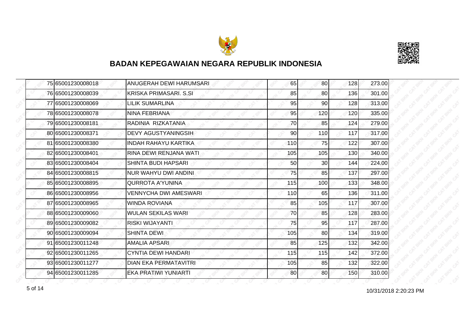



| 75165001230008018 | ANUGERAH DEWI HARUMSARI       | 65  | 80  | 128 | 273.00 |
|-------------------|-------------------------------|-----|-----|-----|--------|
| 76 65001230008039 | <b>KRISKA PRIMASARI. S.SI</b> | 85  | 80  | 136 | 301.00 |
| 77 65001230008069 | LILIK SUMARLINA               | 95  | 90  | 128 | 313.00 |
| 78 65001230008078 | NINA FEBRIANA                 | 95  | 120 | 120 | 335.00 |
| 79 65001230008181 | RADINIA RIZKATANIA            | 70  | 85  | 124 | 279.00 |
| 80 65001230008371 | DEVY AGUSTYANINGSIH           | 90  | 110 | 117 | 317.00 |
| 81 65001230008380 | <b>INDAH RAHAYU KARTIKA</b>   | 110 | 75  | 122 | 307.00 |
| 82 65001230008401 | RINA DEWI RENJANA WATI.       | 105 | 105 | 130 | 340.00 |
| 83 65001230008404 | <b>SHINTA BUDI HAPSARI</b>    | 50  | 30  | 144 | 224.00 |
| 84 65001230008815 | <b>NUR WAHYU DWI ANDINI</b>   | 75  | 85  | 137 | 297.00 |
| 85 65001230008895 | <b>QURROTA A'YUNINA</b>       | 115 | 100 | 133 | 348.00 |
| 86 65001230008956 | VENNYCHA DWI AMESWARI         | 110 | 65  | 136 | 311.00 |
| 87 65001230008965 | <b>WINDA ROVIANA</b>          | 85  | 105 | 117 | 307.00 |
| 88 65001230009060 | <b>WULAN SEKILAS WARI</b>     | 70  | 85  | 128 | 283.00 |
| 89 65001230009082 | <b>RISKI WIJAYANTI</b>        | 75  | 95  | 117 | 287.00 |
| 90 65001230009094 | <b>SHINTA DEWI</b>            | 105 | 80  | 134 | 319.00 |
| 91 65001230011248 | <b>AMALIA APSARI</b>          | 85  | 125 | 132 | 342.00 |
| 92 65001230011265 | CYNTIA DEWI HANDARI           | 115 | 115 | 142 | 372.00 |
| 93 65001230011277 | <b>DIAN EKA PERMATAVITRI</b>  | 105 | 85  | 132 | 322.00 |
| 94 65001230011285 | EKA PRATIWI YUNIARTI          | 80  | 80  | 150 | 310.00 |

10/31/2018 2:20:23 PM 5 of 14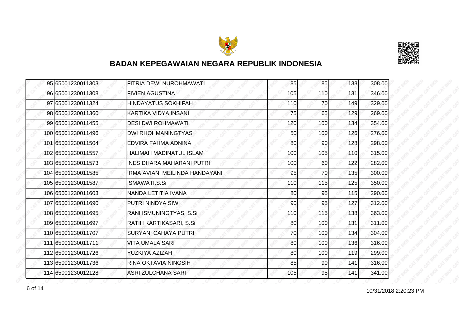



|  | 95 65001230011303  | FITRIA DEWI NUROHMAWATI          | 85  | 85              | 138 | 308.00 |
|--|--------------------|----------------------------------|-----|-----------------|-----|--------|
|  | 96 65001230011308  | <b>FIVIEN AGUSTINA</b>           | 105 | 110             | 131 | 346.00 |
|  | 97 65001230011324  | <b>HINDAYATUS SOKHIFAH</b>       | 110 | 70              | 149 | 329.00 |
|  | 98 65001230011360  | KARTIKA VIDYA INSANI             | 75  | 65              | 129 | 269.00 |
|  | 99 65001230011455  | <b>DESI DWI ROHMAWATI</b>        | 120 | 100             | 134 | 354.00 |
|  | 100 65001230011496 | <b>DWI RHOHMANINGTYAS</b>        | 50  | 100             | 126 | 276.00 |
|  | 101 65001230011504 | EDVIRA FAHMA ADNINA              | 80  | 90 <sub>l</sub> | 128 | 298.00 |
|  | 102 65001230011557 | <b>HALIMAH MADINATUL ISLAM</b>   | 100 | 105             | 110 | 315.00 |
|  | 103 65001230011573 | <b>INES DHARA MAHARANI PUTRI</b> | 100 | 60              | 122 | 282.00 |
|  | 104 65001230011585 | IRMA AVIANI MEILINDA HANDAYANI   | 95  | 70              | 135 | 300.00 |
|  | 105 65001230011587 | ISMAWATI, S.Si                   | 110 | 115             | 125 | 350.00 |
|  | 106 65001230011603 | NANDA LETITIA IVANA              | 80  | 95              | 115 | 290.00 |
|  | 107 65001230011690 | PUTRI NINDYA SIWI                | 90  | 95              | 127 | 312.00 |
|  | 108 65001230011695 | RANI ISMUNINGTYAS, S.Si          | 110 | 115             | 138 | 363.00 |
|  | 109 65001230011697 | RATIH KARTIKASARI, S.Si          | 80  | 100             | 131 | 311.00 |
|  | 110 65001230011707 | <b>SURYANI CAHAYA PUTRI</b>      | 70  | 100             | 134 | 304.00 |
|  | 111 65001230011711 | <b>VITA UMALA SARI</b>           | 80  | 100             | 136 | 316.00 |
|  | 112 65001230011726 | YUZKIYA AZIZAH                   | 80  | 100             | 119 | 299.00 |
|  | 113 65001230011736 | RINA OKTAVIA NINGSIH             | 85  | 90              | 141 | 316.00 |
|  | 114 65001230012128 | <b>ASRI ZULCHANA SARI</b>        | 105 | 95              | 141 | 341.00 |

10/31/2018 2:20:23 PM 6 of 14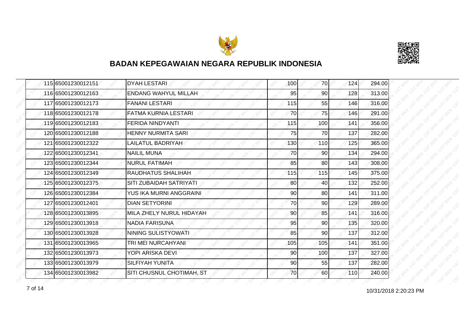



| 115 65001230012151 | <b>DYAH LESTARI</b>         | 100 | 70              | 124 | 294.00 |
|--------------------|-----------------------------|-----|-----------------|-----|--------|
| 116 65001230012163 | <b>ENDANG WAHYUL MILLAH</b> | 95  | 90              | 128 | 313.00 |
| 117 65001230012173 | <b>FANANI LESTARI</b>       | 115 | 55              | 146 | 316.00 |
| 118 65001230012178 | <b>FATMA KURNIA LESTARI</b> | 70  | 75              | 146 | 291.00 |
| 119 65001230012183 | <b>FERIDA NINDYANTI</b>     | 115 | 100             | 141 | 356.00 |
| 120 65001230012188 | <b>HENNY NURMITA SARI</b>   | 75  | 70              | 137 | 282.00 |
| 121 65001230012322 | LAILATUL BADRIYAH           | 130 | <b>110</b>      | 125 | 365.00 |
| 122 65001230012341 | <b>NAILIL MUNA</b>          | 70  | 90              | 134 | 294.00 |
| 123 65001230012344 | <b>NURUL FATIMAH</b>        | 85  | 80              | 143 | 308.00 |
| 124 65001230012349 | RAUDHATUS SHALIHAH          | 115 | 115             | 145 | 375.00 |
| 125 65001230012375 | SITI ZUBAIDAH SATRIYATI     | 80  | 40              | 132 | 252.00 |
| 126 65001230012384 | YUS IKA MURNI ANGGRAINI     | 90  | 80              | 141 | 311.00 |
| 127 65001230012401 | <b>DIAN SETYORINI</b>       | 70  | 90 <sub>0</sub> | 129 | 289.00 |
| 128 65001230013895 | MILA ZHELY NURUL HIDAYAH    | 90  | 85              | 141 | 316.00 |
| 129 65001230013918 | <b>NADIA FARISUNA</b>       | 95  | 90              | 135 | 320.00 |
| 130 65001230013928 | NINING SULISTYOWATI         | 85  | 90              | 137 | 312.00 |
| 131 65001230013965 | TRI MEI NURCAHYANI          | 105 | 105             | 141 | 351.00 |
| 132 65001230013973 | YOPI ARISKA DEVI            | 90  | 100             | 137 | 327.00 |
| 133 65001230013979 | <b>SILFIYAH YUNITA</b>      | 90  | 55              | 137 | 282.00 |
| 134 65001230013982 | SITI CHUSNUL CHOTIMAH, ST   | 70  | <b>60</b>       | 110 | 240.00 |

10/31/2018 2:20:23 PM 7 of 14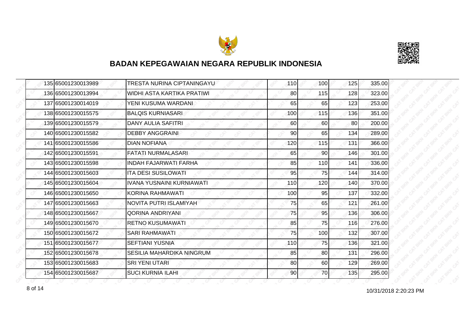



| 135 65001230013989 | TRESTA NURINA CIPTANINGAYU        | 110 | 100             | 125 | 335.00 |
|--------------------|-----------------------------------|-----|-----------------|-----|--------|
| 136 65001230013994 | <b>WIDHI ASTA KARTIKA PRATIWI</b> | 80  | 115             | 128 | 323.00 |
| 137 65001230014019 | YENI KUSUMA WARDANI               | 65  | 65              | 123 | 253.00 |
| 138 65001230015575 | <b>BALQIS KURNIASARI</b>          | 100 | 115             | 136 | 351.00 |
| 139 65001230015579 | <b>DANY AULIA SAFITRI</b>         | 60  | 60              | 80  | 200.00 |
| 140 65001230015582 | <b>DEBBY ANGGRAINI</b>            | 90  | 65              | 134 | 289.00 |
| 141 65001230015586 | <b>DIAN NOFIANA</b>               | 120 | 115             | 131 | 366.00 |
| 142 65001230015591 | <b>FATATI NURMALASARI</b>         | 65  | 90 <sub>0</sub> | 146 | 301.00 |
| 143 65001230015598 | <b>INDAH FAJARWATI FARHA</b>      | 85  | 110             | 141 | 336.00 |
| 144 65001230015603 | <b>ITA DESI SUSILOWATI</b>        | 95  | 75              | 144 | 314.00 |
| 145 65001230015604 | IVANA YUSNAINI KURNIAWATI         | 110 | 120             | 140 | 370.00 |
| 146 65001230015650 | KORINA RAHMAWATI                  | 100 | 95              | 137 | 332.00 |
| 147 65001230015663 | NOVITA PUTRI ISLAMIYAH            | 75  | 65              | 121 | 261.00 |
| 148 65001230015667 | QORINA ANDRIYANI                  | 75  | 95              | 136 | 306.00 |
| 149 65001230015670 | <b>RETNO KUSUMAWATI</b>           | 85  | 75              | 116 | 276.00 |
| 150 65001230015672 | <b>SARI RAHMAWATI</b>             | 75  | 100             | 132 | 307.00 |
| 151 65001230015677 | <b>SEFTIANI YUSNIA</b>            | 110 | 75              | 136 | 321.00 |
| 152 65001230015678 | SESILIA MAHARDIKA NINGRUM         | 85  | 80              | 131 | 296.00 |
| 153 65001230015683 | <b>SRI YENI UTARI</b>             | 80  | 60              | 129 | 269.00 |
| 154 65001230015687 | <b>SUCI KURNIA ILAHI</b>          | 90  | 70              | 135 | 295.00 |

10/31/2018 2:20:23 PM 8 of 14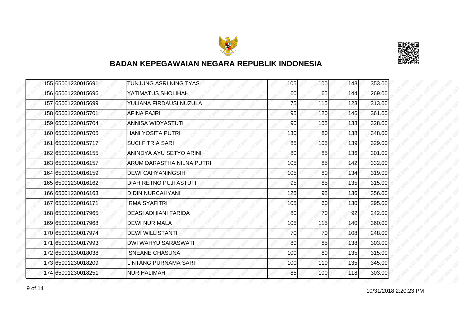



|  | 155 65001230015691 | TUNJUNG ASRI NING TYAS    | 105 | 100 | 148 | 353.00 |
|--|--------------------|---------------------------|-----|-----|-----|--------|
|  | 156 65001230015696 | YATIMATUS SHOLIHAH        | 60  | 65  | 144 | 269.00 |
|  | 157 65001230015699 | YULIANA FIRDAUSI NUZULA   | 75  | 115 | 123 | 313.00 |
|  | 158 65001230015701 | <b>AFINA FAJRI</b>        | 95  | 120 | 146 | 361.00 |
|  | 159 65001230015704 | ANNISA WIDYASTUTI         | 90  | 105 | 133 | 328.00 |
|  | 160 65001230015705 | <b>HANI YOSITA PUTRI</b>  | 130 | 80  | 138 | 348.00 |
|  | 161 65001230015717 | <b>SUCI FITRIA SARI</b>   | 85  | 105 | 139 | 329.00 |
|  | 162 65001230016155 | ANINDYA AYU SETYO ARINI   | 80  | 85  | 136 | 301.00 |
|  | 163 65001230016157 | ARUM DARASTHA NILNA PUTRI | 105 | 85  | 142 | 332.00 |
|  | 164 65001230016159 | <b>DEWI CAHYANINGSIH</b>  | 105 | 80  | 134 | 319.00 |
|  | 165 65001230016162 | DIAH RETNO PUJI ASTUTI    | 95  | 85  | 135 | 315.00 |
|  | 166 65001230016163 | <b>DIDIN NURCAHYANI</b>   | 125 | 95  | 136 | 356.00 |
|  | 167 65001230016171 | <b>IRMA SYAFITRI</b>      | 105 | 60  | 130 | 295.00 |
|  | 168 65001230017965 | DEASI ADHIANI FARIDA      | 80  | 70  | 92  | 242.00 |
|  | 169 65001230017968 | <b>DEWI NUR MALA</b>      | 105 | 115 | 140 | 360.00 |
|  | 170 65001230017974 | <b>DEWI WILLISTANTI</b>   | 70  | 70  | 108 | 248.00 |
|  | 171 65001230017993 | DWI WAHYU SARASWATI       | 80  | 85  | 138 | 303.00 |
|  | 172165001230018038 | <b>ISNEANE CHASUNA</b>    | 100 | 80  | 135 | 315.00 |
|  | 173 65001230018209 | LINTANG PURNAMA SARI      | 100 | 110 | 135 | 345.00 |
|  | 174 65001230018251 | <b>NUR HALIMAH</b>        | 85  | 100 | 118 | 303.00 |

10/31/2018 2:20:23 PM 9 of 14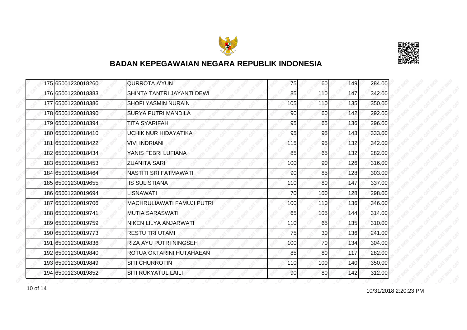



|  | 175 65001230018260 | <b>QURROTA A'YUN</b>              | 75  | 60              | 149 | 284.00 |
|--|--------------------|-----------------------------------|-----|-----------------|-----|--------|
|  | 176 65001230018383 | SHINTA TANTRI JAYANTI DEWI        | 85  | 110             | 147 | 342.00 |
|  | 177 65001230018386 | <b>SHOFI YASMIN NURAIN</b>        | 105 | 110             | 135 | 350.00 |
|  | 178 65001230018390 | <b>SURYA PUTRI MANDILA</b>        | 90  | <b>60</b>       | 142 | 292.00 |
|  | 179 65001230018394 | <b>TITA SYARIFAH</b>              | 95  | 65              | 136 | 296.00 |
|  | 180 65001230018410 | UCHIK NUR HIDAYATIKA              | 95  | 95              | 143 | 333.00 |
|  | 181 65001230018422 | <b>VIVI INDRIANI</b>              | 115 | 95              | 132 | 342.00 |
|  | 182 65001230018434 | YANIS FEBRI LUFIANA               | 85  | 65              | 132 | 282.00 |
|  | 183 65001230018453 | <b>ZUANITA SARI</b>               | 100 | 90              | 126 | 316.00 |
|  | 184 65001230018464 | <b>NASTITI SRI FATMAWATI</b>      | 90  | 85              | 128 | 303.00 |
|  | 185 65001230019655 | <b>IIS SULISTIANA</b>             | 110 | 80              | 147 | 337.00 |
|  | 186 65001230019694 | LISNAWATI                         | 70  | 100             | 128 | 298.00 |
|  | 187 65001230019706 | <b>MACHRULIAWATI FAMUJI PUTRI</b> | 100 | 110             | 136 | 346.00 |
|  | 188 65001230019741 | <b>MUTIA SARASWATI</b>            | 65  | 105             | 144 | 314.00 |
|  | 189 65001230019759 | NIKEN LILYA ANJARWATI             | 110 | 65              | 135 | 310.00 |
|  | 190 65001230019773 | <b>RESTU TRI UTAMI</b>            | 75  | 30 <sup>°</sup> | 136 | 241.00 |
|  | 191 65001230019836 | RIZA AYU PUTRI NINGSEH            | 100 | 70              | 134 | 304.00 |
|  | 192165001230019840 | ROTUA OKTARINI HUTAHAEAN          | 85  | 80              | 117 | 282.00 |
|  | 193 65001230019849 | <b>SITI CHURROTIN</b>             | 110 | 100             | 140 | 350.00 |
|  | 194 65001230019852 | <b>SITI RUKYATUL LAILI</b>        | 90  | 80              | 142 | 312.00 |

10 of 14 2:20:23 PM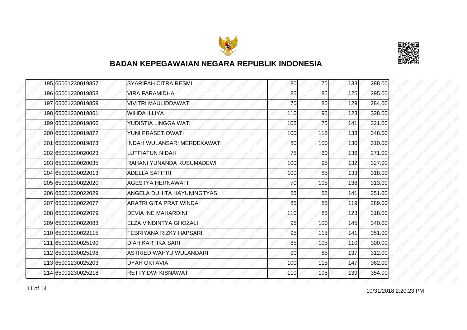



|  | 195 65001230019857 | <b>SYARIFAH CITRA RESMI</b>        | 80  | 75               | 133 | 288.00 |
|--|--------------------|------------------------------------|-----|------------------|-----|--------|
|  | 196 65001230019858 | <b>VIRA FARAMIDHA</b>              | 85  | 85               | 125 | 295.00 |
|  | 197165001230019859 | <b>VIVITRI MAULIDDAWATI</b>        | 70  | 85               | 129 | 284.00 |
|  | 198 65001230019861 | <b>WIHDA ILLIYA</b>                | 110 | 95               | 123 | 328.00 |
|  | 199 65001230019866 | YUDISTIA LINGGA WATI               | 105 | 75               | 141 | 321.00 |
|  | 200 65001230019872 | <b>YUNI PRASETIOWATI</b>           | 100 | 115              | 133 | 348.00 |
|  | 201 65001230019873 | <b>INDAH WULANSARI MERDEKAWATI</b> | 80  | 100 <sub>l</sub> | 130 | 310.00 |
|  | 202 65001230020023 | LUTFIATUN NIDAH                    | 75  | 60               | 136 | 271.00 |
|  | 203165001230020035 | RAHANI YUNANDA KUSUMADEWI          | 100 | 95               | 132 | 327.00 |
|  | 204 65001230022013 | <b>ADELLA SAFITRI</b>              | 100 | 85               | 133 | 318.00 |
|  | 205 65001230022020 | <b>AGESTYA HERNAWATI</b>           | 70  | 105              | 138 | 313.00 |
|  | 206165001230022029 | ANGELA DUHITA HAYUNINGTYAS         | 55  | 55               | 141 | 251.00 |
|  | 207 65001230022077 | <b>ARATRI GITA PRATIWINDA</b>      | 85  | 85               | 119 | 289.00 |
|  | 208 65001230022079 | <b>DEVIA INE MAHARDINI</b>         | 110 | 85               | 123 | 318.00 |
|  | 209 65001230022083 | ELZA VINDINTYA GHOZALI             | 95  | 100              | 145 | 340.00 |
|  | 210 65001230022115 | FEBRIYANA RIZKY HAPSARI            | 95  | 115              | 141 | 351.00 |
|  | 211 65001230025190 | <b>DIAH KARTIKA SARI</b>           | 85  | 105              | 110 | 300.00 |
|  | 212165001230025198 | <b>ASTRIED WAHYU WULANDARI</b>     | 90  | 85               | 137 | 312.00 |
|  | 213 65001230025203 | <b>DYAH OKTAVIA</b>                | 100 | 115              | 147 | 362.00 |
|  | 214 65001230025218 | <b>RETTY DWI KISNAWATI</b>         | 110 | 105              | 139 | 354.00 |

11 of 14 2:20:23 PM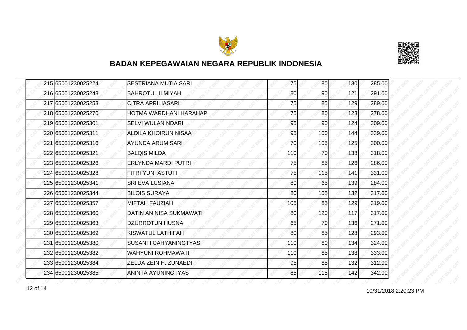



| 215 65001230025224 | <b>SESTRIANA MUTIA SARI</b>    | 75  | 80 <sup>1</sup> | 130 | 285.00 |
|--------------------|--------------------------------|-----|-----------------|-----|--------|
| 216 65001230025248 | <b>BAHROTUL ILMIYAH</b>        | 80  | 90              | 121 | 291.00 |
| 217165001230025253 | <b>CITRA APRILIASARI</b>       | 75  | 85              | 129 | 289.00 |
| 218 65001230025270 | HOTMA WARDHANI HARAHAP         | 75  | 80 <sup>1</sup> | 123 | 278.00 |
| 219 65001230025301 | SELVI WULAN NDARI              | 95  | 90              | 124 | 309.00 |
| 220 65001230025311 | <b>ALDILA KHOIRUN NISAA'</b>   | 95  | 100             | 144 | 339.00 |
| 221 65001230025316 | AYUNDA ARUM SARI               | 70  | 105             | 125 | 300.00 |
| 222 65001230025321 | IBALQIS MILDA                  | 110 | 70              | 138 | 318.00 |
| 223 65001230025326 | ERLYNDA MARDI PUTRI            | 75  | 85              | 126 | 286.00 |
| 224 65001230025328 | FITRI YUNI ASTUTI              | 75  | 115             | 141 | 331.00 |
| 225 65001230025341 | <b>SRI EVA LUSIANA</b>         | 80  | 65              | 139 | 284.00 |
| 226 65001230025344 | <b>BILQIS SURAYA</b>           | 80  | 105             | 132 | 317.00 |
| 227 65001230025357 | IMIFTAH FAUZIAH                | 105 | 85              | 129 | 319.00 |
| 228 65001230025360 | <b>DATIN AN NISA SUKMAWATI</b> | 80  | 120             | 117 | 317.00 |
| 229 65001230025363 | <b>DZURROTUN HUSNA</b>         | 65  | 70              | 136 | 271.00 |
| 230 65001230025369 | <b>KISWATUL LATHIFAH</b>       | 80  | 85              | 128 | 293.00 |
| 231 65001230025380 | <b>SUSANTI CAHYANINGTYAS</b>   | 110 | 80              | 134 | 324.00 |
| 232165001230025382 | WAHYUNI ROHMAWATI              | 110 | 85              | 138 | 333.00 |
| 233 65001230025384 | ZELDA ZEIN H. ZUNAEDI          | 95  | 85              | 132 | 312.00 |
| 234 65001230025385 | ANINTA AYUNINGTYAS             | 85  | 115             | 142 | 342.00 |

10/31/2018 2:20:23 PM 12 of 14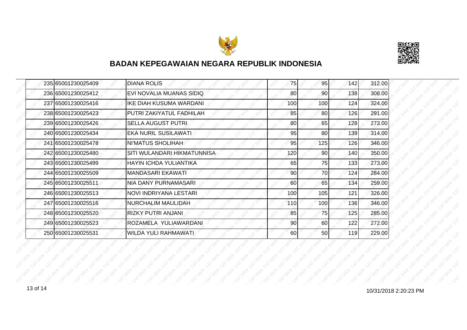



| 235 65001230025409 | <b>DIANA ROLIS</b>          | 75  | 95  | 142 | 312.00 |
|--------------------|-----------------------------|-----|-----|-----|--------|
| 236165001230025412 | EVI NOVALIA MUANAS SIDIQ    | 80  | 90  | 138 | 308.00 |
| 237 65001230025416 | IKE DIAH KUSUMA WARDANI     | 100 | 100 | 124 | 324.00 |
| 238 65001230025423 | PUTRI ZAKIYATUL FADHILAH    | 85  | 80  | 126 | 291.00 |
| 239165001230025426 | <b>SELLA AUGUST PUTRI</b>   | 80  | 65  | 128 | 273.00 |
| 240 65001230025434 | EKA NURIL SUSILAWATI        | 95  | 80  | 139 | 314.00 |
| 241 65001230025478 | NI'MATUS SHOLIHAH           | 95  | 125 | 126 | 346.00 |
| 242165001230025480 | SITI WULANDARI HIKMATUNNISA | 120 | 90  | 140 | 350.00 |
| 243 65001230025499 | HAYIN ICHDA YULIANTIKA      | 65  | 75  | 133 | 273.00 |
| 244 65001230025509 | <b>MANDASARI EKAWATI</b>    | 90  | 70  | 124 | 284.00 |
| 245 65001230025511 | <b>NIA DANY PURNAMASARI</b> | 60  | 65  | 134 | 259.00 |
| 246 65001230025513 | NOVI INDRIYANA LESTARI      | 100 | 105 | 121 | 326.00 |
| 247 65001230025516 | <b>NURCHALIM MAULIDAH</b>   | 110 | 100 | 136 | 346.00 |
| 248 65001230025520 | <b>RIZKY PUTRI ANJANI</b>   | 85  | 75  | 125 | 285.00 |
| 249 65001230025523 | ROZAMELA YULIAWARDANI       | 90  | 60  | 122 | 272.00 |
| 250 65001230025531 | <b>WILDA YULI RAHMAWATI</b> | 60  | 50  | 119 | 229.00 |